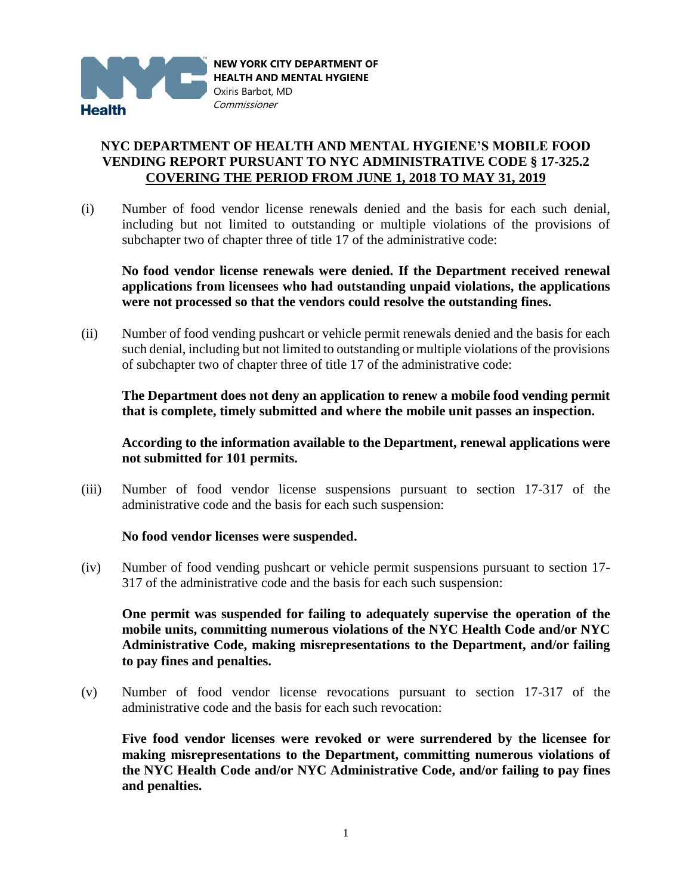

## **NYC DEPARTMENT OF HEALTH AND MENTAL HYGIENE'S MOBILE FOOD VENDING REPORT PURSUANT TO NYC ADMINISTRATIVE CODE § 17-325.2 COVERING THE PERIOD FROM JUNE 1, 2018 TO MAY 31, 2019**

(i) Number of food vendor license renewals denied and the basis for each such denial, including but not limited to outstanding or multiple violations of the provisions of subchapter two of chapter three of title 17 of the administrative code:

**No food vendor license renewals were denied. If the Department received renewal applications from licensees who had outstanding unpaid violations, the applications were not processed so that the vendors could resolve the outstanding fines.**

(ii) Number of food vending pushcart or vehicle permit renewals denied and the basis for each such denial, including but not limited to outstanding or multiple violations of the provisions of subchapter two of chapter three of title 17 of the administrative code:

**The Department does not deny an application to renew a mobile food vending permit that is complete, timely submitted and where the mobile unit passes an inspection.**

**According to the information available to the Department, renewal applications were not submitted for 101 permits.** 

(iii) Number of food vendor license suspensions pursuant to section 17-317 of the administrative code and the basis for each such suspension:

## **No food vendor licenses were suspended.**

(iv) Number of food vending pushcart or vehicle permit suspensions pursuant to section 17- 317 of the administrative code and the basis for each such suspension:

**One permit was suspended for failing to adequately supervise the operation of the mobile units, committing numerous violations of the NYC Health Code and/or NYC Administrative Code, making misrepresentations to the Department, and/or failing to pay fines and penalties.**

(v) Number of food vendor license revocations pursuant to section 17-317 of the administrative code and the basis for each such revocation:

**Five food vendor licenses were revoked or were surrendered by the licensee for making misrepresentations to the Department, committing numerous violations of the NYC Health Code and/or NYC Administrative Code, and/or failing to pay fines and penalties.**